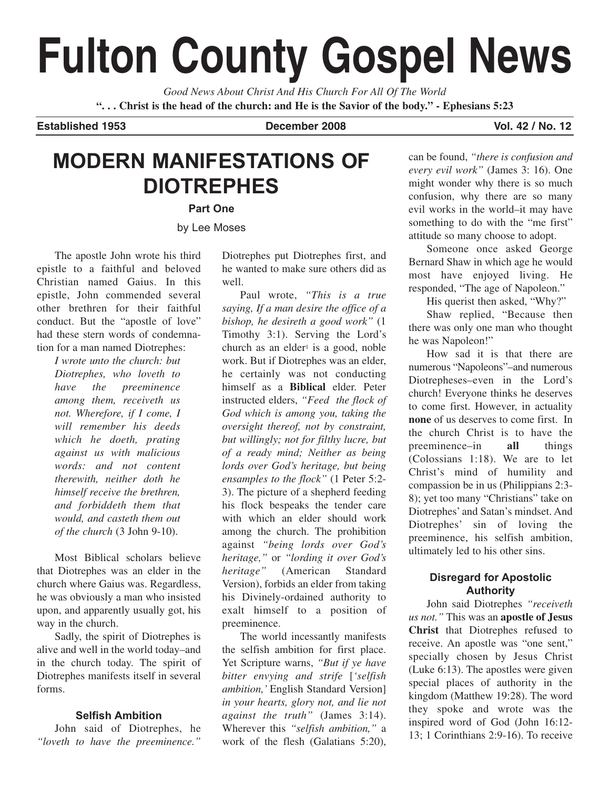# **Fulton County Gospel News**

*Good News About Christ And His Church For All Of The World* **". . . Christ is the head of the church: and He is the Savior of the body." - Ephesians 5:23**

#### **Established 1953 December 2008 Vol. 42 / No. 12**

## **MODERN MANIFESTATIONS OF DIOTREPHES**

**Part One**

by Lee Moses

The apostle John wrote his third epistle to a faithful and beloved Christian named Gaius. In this epistle, John commended several other brethren for their faithful conduct. But the "apostle of love" had these stern words of condemnation for a man named Diotrephes:

> *I wrote unto the church: but Diotrephes, who loveth to have the preeminence among them, receiveth us not. Wherefore, if I come, I will remember his deeds which he doeth, prating against us with malicious words: and not content therewith, neither doth he himself receive the brethren, and forbiddeth them that would, and casteth them out of the church* (3 John 9-10).

Most Biblical scholars believe that Diotrephes was an elder in the church where Gaius was. Regardless, he was obviously a man who insisted upon, and apparently usually got, his way in the church.

Sadly, the spirit of Diotrephes is alive and well in the world today–and in the church today. The spirit of Diotrephes manifests itself in several forms.

#### **Selfish Ambition**

John said of Diotrephes, he *"loveth to have the preeminence."* Diotrephes put Diotrephes first, and he wanted to make sure others did as well.

Paul wrote, *"This is a true saying, If a man desire the office of a bishop, he desireth a good work"* (1 Timothy 3:1). Serving the Lord's church as an elder $\frac{1}{1}$  is a good, noble work. But if Diotrephes was an elder, he certainly was not conducting himself as a **Biblical** elder. Peter instructed elders, *"Feed the flock of God which is among you, taking the oversight thereof, not by constraint, but willingly; not for filthy lucre, but of a ready mind; Neither as being lords over God's heritage, but being ensamples to the flock"* (1 Peter 5:2- 3). The picture of a shepherd feeding his flock bespeaks the tender care with which an elder should work among the church. The prohibition against *"being lords over God's heritage,"* or *"lording it over God's heritage"* (American Standard Version), forbids an elder from taking his Divinely-ordained authority to exalt himself to a position of preeminence.

The world incessantly manifests the selfish ambition for first place. Yet Scripture warns, *"But if ye have bitter envying and strife* [*'selfish ambition,'* English Standard Version] *in your hearts, glory not, and lie not against the truth"* (James 3:14). Wherever this *"selfish ambition,"* a work of the flesh (Galatians 5:20),

can be found, *"there is confusion and every evil work"* (James 3: 16). One might wonder why there is so much confusion, why there are so many evil works in the world–it may have something to do with the "me first" attitude so many choose to adopt.

Someone once asked George Bernard Shaw in which age he would most have enjoyed living. He responded, "The age of Napoleon."

His querist then asked, "Why?"

Shaw replied, "Because then there was only one man who thought he was Napoleon!"

How sad it is that there are numerous "Napoleons"–and numerous Diotrepheses–even in the Lord's church! Everyone thinks he deserves to come first. However, in actuality **none** of us deserves to come first. In the church Christ is to have the preeminence–in **all** things (Colossians 1:18). We are to let Christ's mind of humility and compassion be in us (Philippians 2:3- 8); yet too many "Christians" take on Diotrephes' and Satan's mindset. And Diotrephes' sin of loving the preeminence, his selfish ambition, ultimately led to his other sins.

## **Disregard for Apostolic Authority**

John said Diotrephes *"receiveth us not."* This was an **apostle of Jesus Christ** that Diotrephes refused to receive. An apostle was "one sent," specially chosen by Jesus Christ (Luke 6:13). The apostles were given special places of authority in the kingdom (Matthew 19:28). The word they spoke and wrote was the inspired word of God (John 16:12- 13; 1 Corinthians 2:9-16). To receive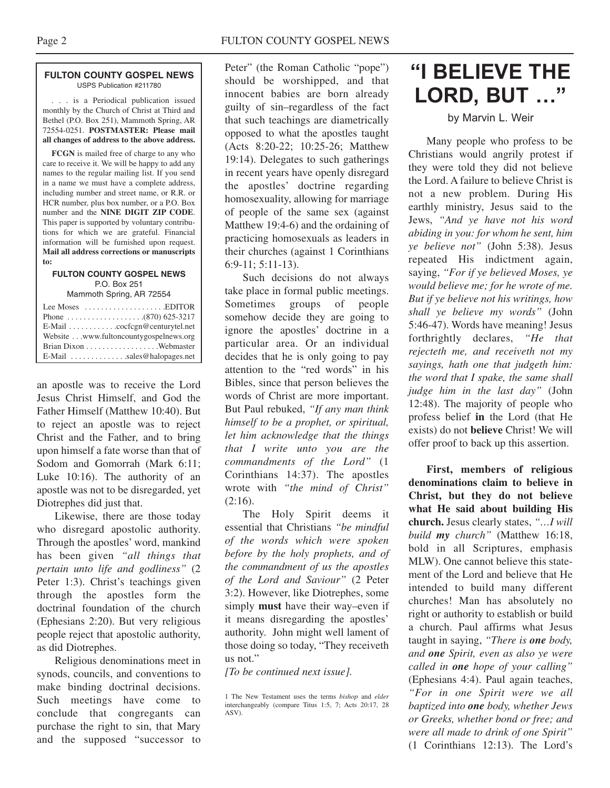#### **FULTON COUNTY GOSPEL NEWS** USPS Publication #211780

. . . is a Periodical publication issued monthly by the Church of Christ at Third and Bethel (P.O. Box 251), Mammoth Spring, AR 72554-0251. **POSTMASTER: Please mail all changes of address to the above address.**

**FCGN** is mailed free of charge to any who care to receive it. We will be happy to add any names to the regular mailing list. If you send in a name we must have a complete address, including number and street name, or R.R. or HCR number, plus box number, or a P.O. Box number and the **NINE DIGIT ZIP CODE**. This paper is supported by voluntary contributions for which we are grateful. Financial information will be furnished upon request. **Mail all address corrections or manuscripts to:**

#### **FULTON COUNTY GOSPEL NEWS** P.O. Box 251 Mammoth Spring, AR 72554

| Lee Moses $\dots \dots \dots \dots \dots$ . EDITOR        |  |
|-----------------------------------------------------------|--|
|                                                           |  |
| $E$ -Mail $\ldots \ldots \ldots$ . cocfcgn@centurytel.net |  |
| Website www.fultoncountygospelnews.org                    |  |
|                                                           |  |
| $E$ -Mail $\ldots$ sales@halopages.net                    |  |

an apostle was to receive the Lord Jesus Christ Himself, and God the Father Himself (Matthew 10:40). But to reject an apostle was to reject Christ and the Father, and to bring upon himself a fate worse than that of Sodom and Gomorrah (Mark 6:11; Luke 10:16). The authority of an apostle was not to be disregarded, yet Diotrephes did just that.

Likewise, there are those today who disregard apostolic authority. Through the apostles' word, mankind has been given *"all things that pertain unto life and godliness"* (2 Peter 1:3). Christ's teachings given through the apostles form the doctrinal foundation of the church (Ephesians 2:20). But very religious people reject that apostolic authority, as did Diotrephes.

Religious denominations meet in synods, councils, and conventions to make binding doctrinal decisions. Such meetings have come to conclude that congregants can purchase the right to sin, that Mary and the supposed "successor to

Peter" (the Roman Catholic "pope") should be worshipped, and that innocent babies are born already guilty of sin–regardless of the fact that such teachings are diametrically opposed to what the apostles taught (Acts 8:20-22; 10:25-26; Matthew 19:14). Delegates to such gatherings in recent years have openly disregard the apostles' doctrine regarding homosexuality, allowing for marriage of people of the same sex (against Matthew 19:4-6) and the ordaining of practicing homosexuals as leaders in their churches (against 1 Corinthians 6:9-11; 5:11-13).

Such decisions do not always take place in formal public meetings. Sometimes groups of people somehow decide they are going to ignore the apostles' doctrine in a particular area. Or an individual decides that he is only going to pay attention to the "red words" in his Bibles, since that person believes the words of Christ are more important. But Paul rebuked, *"If any man think himself to be a prophet, or spiritual, let him acknowledge that the things that I write unto you are the commandments of the Lord"* (1 Corinthians 14:37). The apostles wrote with *"the mind of Christ"*  $(2:16)$ .

The Holy Spirit deems it essential that Christians *"be mindful of the words which were spoken before by the holy prophets, and of the commandment of us the apostles of the Lord and Saviour"* (2 Peter 3:2). However, like Diotrephes, some simply **must** have their way–even if it means disregarding the apostles' authority. John might well lament of those doing so today, "They receiveth us not."

*[To be continued next issue].*

# **"I BELIEVE THE LORD, BUT …"**

#### by Marvin L. Weir

Many people who profess to be Christians would angrily protest if they were told they did not believe the Lord. A failure to believe Christ is not a new problem. During His earthly ministry, Jesus said to the Jews, *"And ye have not his word abiding in you: for whom he sent, him ye believe not"* (John 5:38). Jesus repeated His indictment again, saying, *"For if ye believed Moses, ye would believe me; for he wrote of me. But if ye believe not his writings, how shall ye believe my words"* (John 5:46-47). Words have meaning! Jesus forthrightly declares, *"He that rejecteth me, and receiveth not my sayings, hath one that judgeth him: the word that I spake, the same shall judge him in the last day"* (John 12:48). The majority of people who profess belief **in** the Lord (that He exists) do not **believe** Christ! We will offer proof to back up this assertion.

**First, members of religious denominations claim to believe in Christ, but they do not believe what He said about building His church.** Jesus clearly states, *"…I will build my church"* (Matthew 16:18, bold in all Scriptures, emphasis MLW). One cannot believe this statement of the Lord and believe that He intended to build many different churches! Man has absolutely no right or authority to establish or build a church. Paul affirms what Jesus taught in saying, *"There is one body, and one Spirit, even as also ye were called in one hope of your calling"* (Ephesians 4:4). Paul again teaches, *"For in one Spirit were we all baptized into one body, whether Jews or Greeks, whether bond or free; and were all made to drink of one Spirit"* (1 Corinthians 12:13). The Lord's

<sup>1</sup> The New Testament uses the terms *bishop* and *elder* interchangeably (compare Titus 1:5, 7; Acts 20:17, 28 ASV).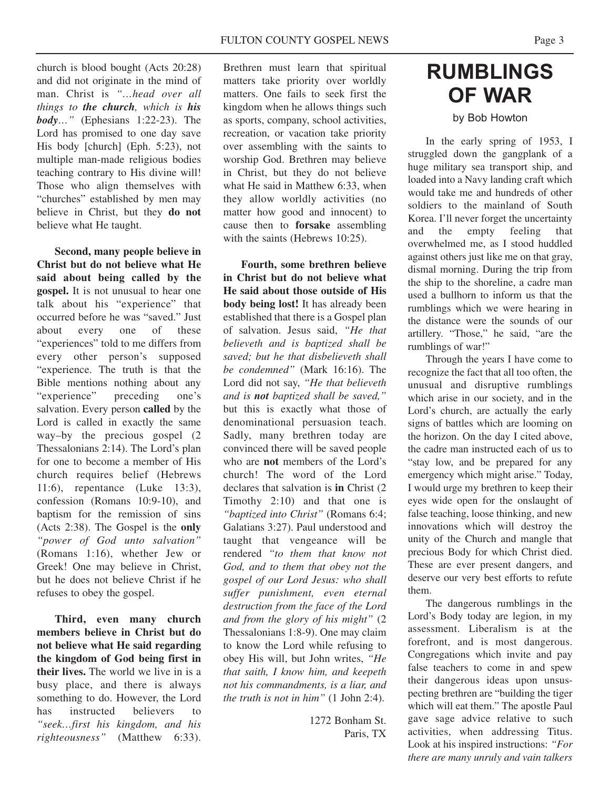church is blood bought (Acts 20:28) and did not originate in the mind of man. Christ is *"…head over all things to the church, which is his body…"* (Ephesians 1:22-23). The Lord has promised to one day save His body [church] (Eph. 5:23), not multiple man-made religious bodies teaching contrary to His divine will! Those who align themselves with "churches" established by men may believe in Christ, but they **do not** believe what He taught.

**Second, many people believe in Christ but do not believe what He said about being called by the gospel.** It is not unusual to hear one talk about his "experience" that occurred before he was "saved." Just about every one of these "experiences" told to me differs from every other person's supposed "experience. The truth is that the Bible mentions nothing about any "experience" preceding one's salvation. Every person **called** by the Lord is called in exactly the same way–by the precious gospel (2 Thessalonians 2:14). The Lord's plan for one to become a member of His church requires belief (Hebrews 11:6), repentance (Luke 13:3), confession (Romans 10:9-10), and baptism for the remission of sins (Acts 2:38). The Gospel is the **only** *"power of God unto salvation"* (Romans 1:16), whether Jew or Greek! One may believe in Christ, but he does not believe Christ if he refuses to obey the gospel.

**Third, even many church members believe in Christ but do not believe what He said regarding the kingdom of God being first in their lives.** The world we live in is a busy place, and there is always something to do. However, the Lord has instructed believers to *"seek…first his kingdom, and his righteousness"* (Matthew 6:33). Brethren must learn that spiritual matters take priority over worldly matters. One fails to seek first the kingdom when he allows things such as sports, company, school activities, recreation, or vacation take priority over assembling with the saints to worship God. Brethren may believe in Christ, but they do not believe what He said in Matthew 6:33, when they allow worldly activities (no matter how good and innocent) to cause then to **forsake** assembling with the saints (Hebrews 10:25).

**Fourth, some brethren believe in Christ but do not believe what He said about those outside of His body being lost!** It has already been established that there is a Gospel plan of salvation. Jesus said, *"He that believeth and is baptized shall be saved; but he that disbelieveth shall be condemned"* (Mark 16:16). The Lord did not say, *"He that believeth and is not baptized shall be saved,"* but this is exactly what those of denominational persuasion teach. Sadly, many brethren today are convinced there will be saved people who are **not** members of the Lord's church! The word of the Lord declares that salvation is **in** Christ (2 Timothy 2:10) and that one is *"baptized into Christ"* (Romans 6:4; Galatians 3:27). Paul understood and taught that vengeance will be rendered *"to them that know not God, and to them that obey not the gospel of our Lord Jesus: who shall suffer punishment, even eternal destruction from the face of the Lord and from the glory of his might"* (2 Thessalonians 1:8-9). One may claim to know the Lord while refusing to obey His will, but John writes, *"He that saith, I know him, and keepeth not his commandments, is a liar, and the truth is not in him"* (1 John 2:4).

> 1272 Bonham St. Paris, TX

# **RUMBLINGS OF WAR**

### by Bob Howton

In the early spring of 1953, I struggled down the gangplank of a huge military sea transport ship, and loaded into a Navy landing craft which would take me and hundreds of other soldiers to the mainland of South Korea. I'll never forget the uncertainty and the empty feeling that overwhelmed me, as I stood huddled against others just like me on that gray, dismal morning. During the trip from the ship to the shoreline, a cadre man used a bullhorn to inform us that the rumblings which we were hearing in the distance were the sounds of our artillery. "Those," he said, "are the rumblings of war!"

Through the years I have come to recognize the fact that all too often, the unusual and disruptive rumblings which arise in our society, and in the Lord's church, are actually the early signs of battles which are looming on the horizon. On the day I cited above, the cadre man instructed each of us to "stay low, and be prepared for any emergency which might arise." Today, I would urge my brethren to keep their eyes wide open for the onslaught of false teaching, loose thinking, and new innovations which will destroy the unity of the Church and mangle that precious Body for which Christ died. These are ever present dangers, and deserve our very best efforts to refute them.

The dangerous rumblings in the Lord's Body today are legion, in my assessment. Liberalism is at the forefront, and is most dangerous. Congregations which invite and pay false teachers to come in and spew their dangerous ideas upon unsuspecting brethren are "building the tiger which will eat them." The apostle Paul gave sage advice relative to such activities, when addressing Titus. Look at his inspired instructions: *"For there are many unruly and vain talkers*